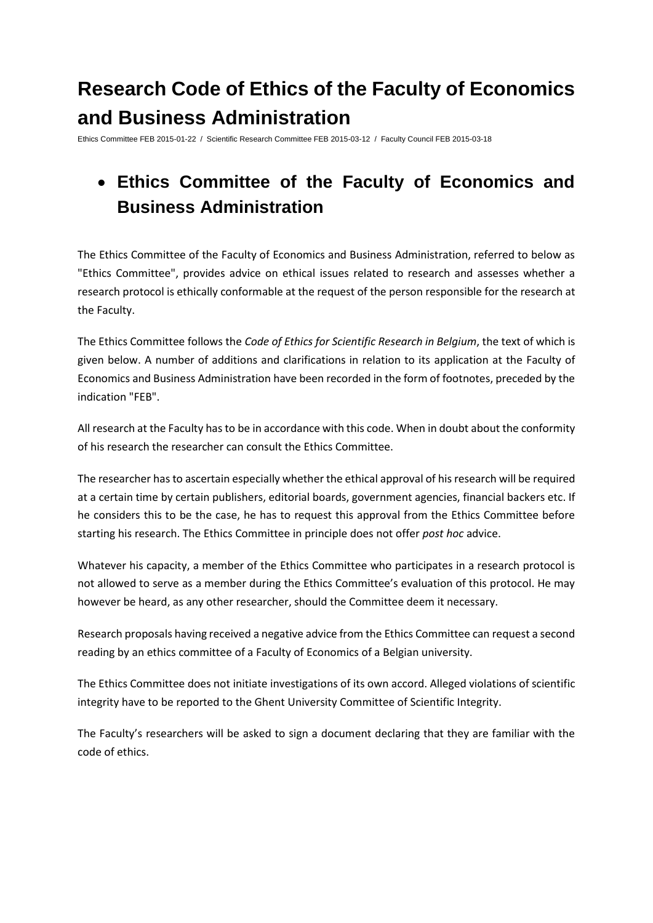# **Research Code of Ethics of the Faculty of Economics and Business Administration**

Ethics Committee FEB 2015-01-22 / Scientific Research Committee FEB 2015-03-12 / Faculty Council FEB 2015-03-18

## **Ethics Committee of the Faculty of Economics and Business Administration**

The Ethics Committee of the Faculty of Economics and Business Administration, referred to below as "Ethics Committee", provides advice on ethical issues related to research and assesses whether a research protocol is ethically conformable at the request of the person responsible for the research at the Faculty.

The Ethics Committee follows the *Code of Ethics for Scientific Research in Belgium*, the text of which is given below. A number of additions and clarifications in relation to its application at the Faculty of Economics and Business Administration have been recorded in the form of footnotes, preceded by the indication "FEB".

All research at the Faculty has to be in accordance with this code. When in doubt about the conformity of his research the researcher can consult the Ethics Committee.

The researcher has to ascertain especially whether the ethical approval of his research will be required at a certain time by certain publishers, editorial boards, government agencies, financial backers etc. If he considers this to be the case, he has to request this approval from the Ethics Committee before starting his research. The Ethics Committee in principle does not offer *post hoc* advice.

Whatever his capacity, a member of the Ethics Committee who participates in a research protocol is not allowed to serve as a member during the Ethics Committee's evaluation of this protocol. He may however be heard, as any other researcher, should the Committee deem it necessary.

Research proposals having received a negative advice from the Ethics Committee can request a second reading by an ethics committee of a Faculty of Economics of a Belgian university.

The Ethics Committee does not initiate investigations of its own accord. Alleged violations of scientific integrity have to be reported to the Ghent University Committee of Scientific Integrity.

The Faculty's researchers will be asked to sign a document declaring that they are familiar with the code of ethics.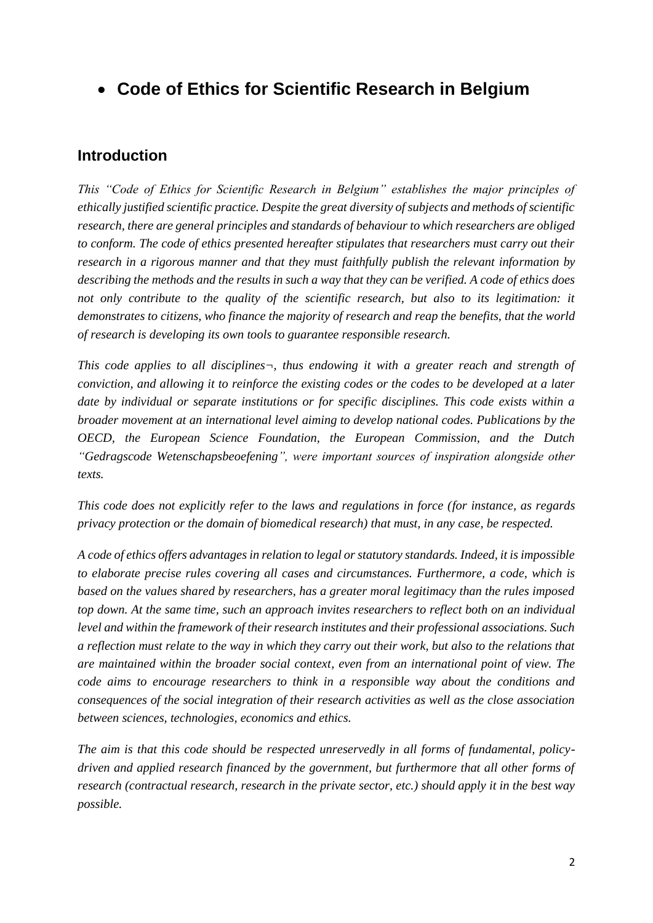**Code of Ethics for Scientific Research in Belgium** 

## **Introduction**

*This "Code of Ethics for Scientific Research in Belgium" establishes the major principles of ethically justified scientific practice. Despite the great diversity of subjects and methods of scientific research, there are general principles and standards of behaviour to which researchers are obliged to conform. The code of ethics presented hereafter stipulates that researchers must carry out their research in a rigorous manner and that they must faithfully publish the relevant information by describing the methods and the results in such a way that they can be verified. A code of ethics does not only contribute to the quality of the scientific research, but also to its legitimation: it demonstrates to citizens, who finance the majority of research and reap the benefits, that the world of research is developing its own tools to guarantee responsible research.*

*This code applies to all disciplines¬, thus endowing it with a greater reach and strength of conviction, and allowing it to reinforce the existing codes or the codes to be developed at a later date by individual or separate institutions or for specific disciplines. This code exists within a broader movement at an international level aiming to develop national codes. Publications by the OECD, the European Science Foundation, the European Commission, and the Dutch "Gedragscode Wetenschapsbeoefening", were important sources of inspiration alongside other texts.*

*This code does not explicitly refer to the laws and regulations in force (for instance, as regards privacy protection or the domain of biomedical research) that must, in any case, be respected.*

*A code of ethics offers advantages in relation to legal or statutory standards. Indeed, it is impossible to elaborate precise rules covering all cases and circumstances. Furthermore, a code, which is based on the values shared by researchers, has a greater moral legitimacy than the rules imposed top down. At the same time, such an approach invites researchers to reflect both on an individual level and within the framework of their research institutes and their professional associations. Such a reflection must relate to the way in which they carry out their work, but also to the relations that are maintained within the broader social context, even from an international point of view. The code aims to encourage researchers to think in a responsible way about the conditions and consequences of the social integration of their research activities as well as the close association between sciences, technologies, economics and ethics.*

*The aim is that this code should be respected unreservedly in all forms of fundamental, policydriven and applied research financed by the government, but furthermore that all other forms of research (contractual research, research in the private sector, etc.) should apply it in the best way possible.*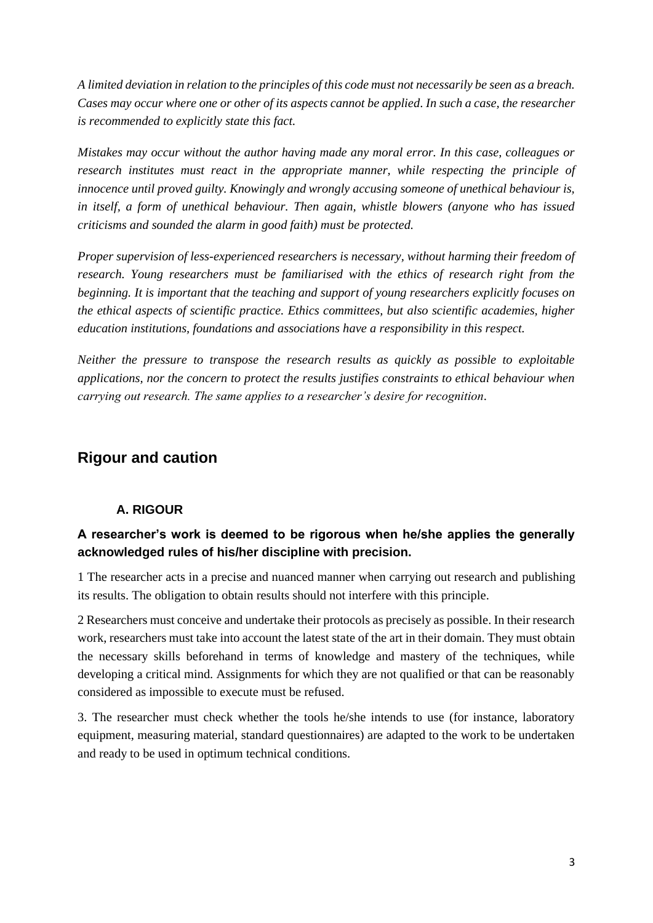*A limited deviation in relation to the principles of this code must not necessarily be seen as a breach. Cases may occur where one or other of its aspects cannot be applied. In such a case, the researcher is recommended to explicitly state this fact.*

*Mistakes may occur without the author having made any moral error. In this case, colleagues or research institutes must react in the appropriate manner, while respecting the principle of innocence until proved guilty. Knowingly and wrongly accusing someone of unethical behaviour is, in itself, a form of unethical behaviour. Then again, whistle blowers (anyone who has issued criticisms and sounded the alarm in good faith) must be protected.*

*Proper supervision of less-experienced researchers is necessary, without harming their freedom of research. Young researchers must be familiarised with the ethics of research right from the beginning. It is important that the teaching and support of young researchers explicitly focuses on the ethical aspects of scientific practice. Ethics committees, but also scientific academies, higher education institutions, foundations and associations have a responsibility in this respect.*

*Neither the pressure to transpose the research results as quickly as possible to exploitable applications, nor the concern to protect the results justifies constraints to ethical behaviour when carrying out research. The same applies to a researcher's desire for recognition.*

## **Rigour and caution**

#### **A. RIGOUR**

#### **A researcher's work is deemed to be rigorous when he/she applies the generally acknowledged rules of his/her discipline with precision.**

1 The researcher acts in a precise and nuanced manner when carrying out research and publishing its results. The obligation to obtain results should not interfere with this principle.

2 Researchers must conceive and undertake their protocols as precisely as possible. In their research work, researchers must take into account the latest state of the art in their domain. They must obtain the necessary skills beforehand in terms of knowledge and mastery of the techniques, while developing a critical mind. Assignments for which they are not qualified or that can be reasonably considered as impossible to execute must be refused.

3. The researcher must check whether the tools he/she intends to use (for instance, laboratory equipment, measuring material, standard questionnaires) are adapted to the work to be undertaken and ready to be used in optimum technical conditions.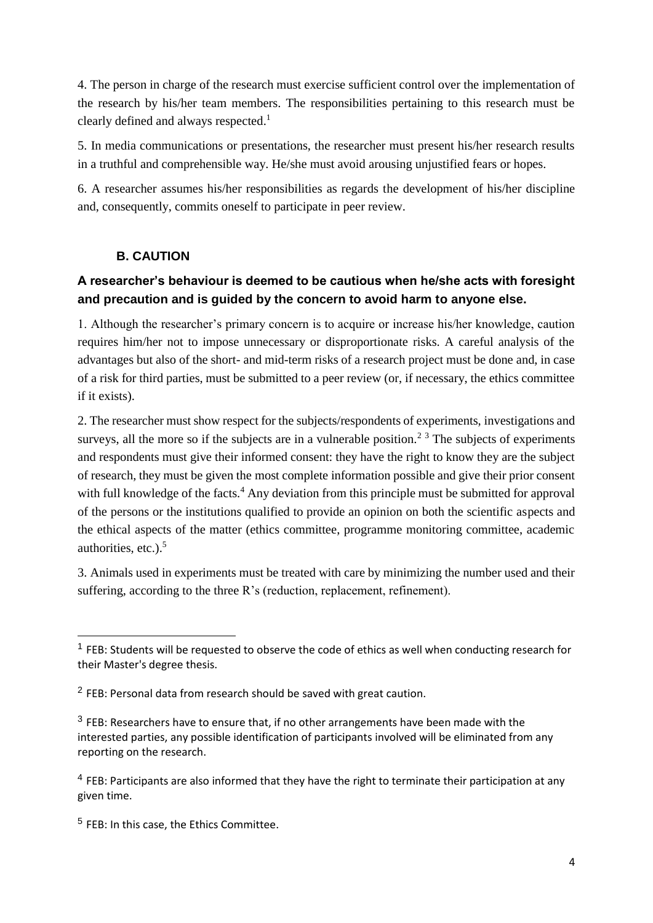4. The person in charge of the research must exercise sufficient control over the implementation of the research by his/her team members. The responsibilities pertaining to this research must be clearly defined and always respected.<sup>1</sup>

5. In media communications or presentations, the researcher must present his/her research results in a truthful and comprehensible way. He/she must avoid arousing unjustified fears or hopes.

6. A researcher assumes his/her responsibilities as regards the development of his/her discipline and, consequently, commits oneself to participate in peer review.

#### **B. CAUTION**

#### **A researcher's behaviour is deemed to be cautious when he/she acts with foresight and precaution and is guided by the concern to avoid harm to anyone else.**

1. Although the researcher's primary concern is to acquire or increase his/her knowledge, caution requires him/her not to impose unnecessary or disproportionate risks. A careful analysis of the advantages but also of the short- and mid-term risks of a research project must be done and, in case of a risk for third parties, must be submitted to a peer review (or, if necessary, the ethics committee if it exists).

2. The researcher must show respect for the subjects/respondents of experiments, investigations and surveys, all the more so if the subjects are in a vulnerable position.<sup>2 3</sup> The subjects of experiments and respondents must give their informed consent: they have the right to know they are the subject of research, they must be given the most complete information possible and give their prior consent with full knowledge of the facts.<sup>4</sup> Any deviation from this principle must be submitted for approval of the persons or the institutions qualified to provide an opinion on both the scientific aspects and the ethical aspects of the matter (ethics committee, programme monitoring committee, academic authorities, etc.). 5

3. Animals used in experiments must be treated with care by minimizing the number used and their suffering, according to the three R's (reduction, replacement, refinement).

**.** 

<sup>&</sup>lt;sup>1</sup> FEB: Students will be requested to observe the code of ethics as well when conducting research for their Master's degree thesis.

 $2$  FEB: Personal data from research should be saved with great caution.

 $3$  FEB: Researchers have to ensure that, if no other arrangements have been made with the interested parties, any possible identification of participants involved will be eliminated from any reporting on the research.

<sup>&</sup>lt;sup>4</sup> FEB: Participants are also informed that they have the right to terminate their participation at any given time.

<sup>5</sup> FEB: In this case, the Ethics Committee.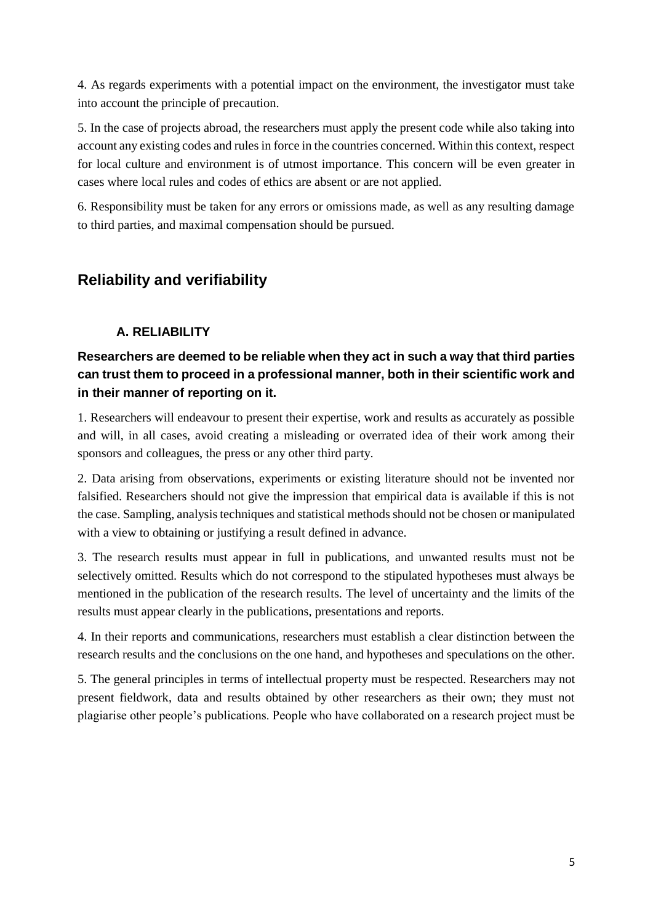4. As regards experiments with a potential impact on the environment, the investigator must take into account the principle of precaution.

5. In the case of projects abroad, the researchers must apply the present code while also taking into account any existing codes and rules in force in the countries concerned. Within this context, respect for local culture and environment is of utmost importance. This concern will be even greater in cases where local rules and codes of ethics are absent or are not applied.

6. Responsibility must be taken for any errors or omissions made, as well as any resulting damage to third parties, and maximal compensation should be pursued.

## **Reliability and verifiability**

#### **A. RELIABILITY**

#### **Researchers are deemed to be reliable when they act in such a way that third parties can trust them to proceed in a professional manner, both in their scientific work and in their manner of reporting on it.**

1. Researchers will endeavour to present their expertise, work and results as accurately as possible and will, in all cases, avoid creating a misleading or overrated idea of their work among their sponsors and colleagues, the press or any other third party.

2. Data arising from observations, experiments or existing literature should not be invented nor falsified. Researchers should not give the impression that empirical data is available if this is not the case. Sampling, analysis techniques and statistical methods should not be chosen or manipulated with a view to obtaining or justifying a result defined in advance.

3. The research results must appear in full in publications, and unwanted results must not be selectively omitted. Results which do not correspond to the stipulated hypotheses must always be mentioned in the publication of the research results. The level of uncertainty and the limits of the results must appear clearly in the publications, presentations and reports.

4. In their reports and communications, researchers must establish a clear distinction between the research results and the conclusions on the one hand, and hypotheses and speculations on the other.

5. The general principles in terms of intellectual property must be respected. Researchers may not present fieldwork, data and results obtained by other researchers as their own; they must not plagiarise other people's publications. People who have collaborated on a research project must be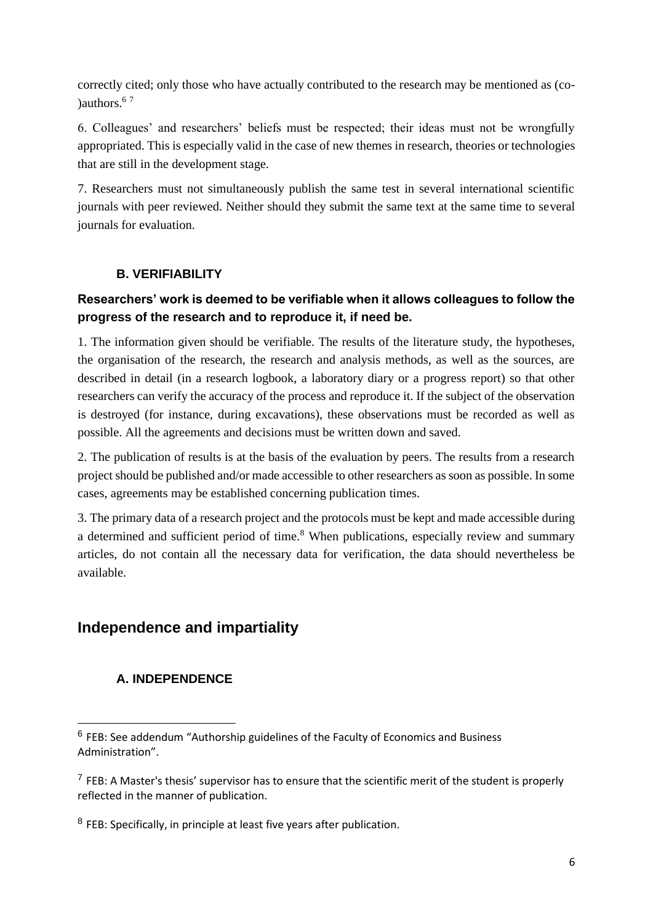correctly cited; only those who have actually contributed to the research may be mentioned as (co- )authors. $67$ 

6. Colleagues' and researchers' beliefs must be respected; their ideas must not be wrongfully appropriated. This is especially valid in the case of new themes in research, theories or technologies that are still in the development stage.

7. Researchers must not simultaneously publish the same test in several international scientific journals with peer reviewed. Neither should they submit the same text at the same time to several journals for evaluation.

#### **B. VERIFIABILITY**

#### **Researchers' work is deemed to be verifiable when it allows colleagues to follow the progress of the research and to reproduce it, if need be.**

1. The information given should be verifiable. The results of the literature study, the hypotheses, the organisation of the research, the research and analysis methods, as well as the sources, are described in detail (in a research logbook, a laboratory diary or a progress report) so that other researchers can verify the accuracy of the process and reproduce it. If the subject of the observation is destroyed (for instance, during excavations), these observations must be recorded as well as possible. All the agreements and decisions must be written down and saved.

2. The publication of results is at the basis of the evaluation by peers. The results from a research project should be published and/or made accessible to other researchers as soon as possible. In some cases, agreements may be established concerning publication times.

3. The primary data of a research project and the protocols must be kept and made accessible during a determined and sufficient period of time.<sup>8</sup> When publications, especially review and summary articles, do not contain all the necessary data for verification, the data should nevertheless be available.

## **Independence and impartiality**

#### **A. INDEPENDENCE**

**.** 

<sup>&</sup>lt;sup>6</sup> FEB: See addendum "Authorship guidelines of the Faculty of Economics and Business Administration".

 $<sup>7</sup>$  FEB: A Master's thesis' supervisor has to ensure that the scientific merit of the student is properly</sup> reflected in the manner of publication.

 $8$  FEB: Specifically, in principle at least five years after publication.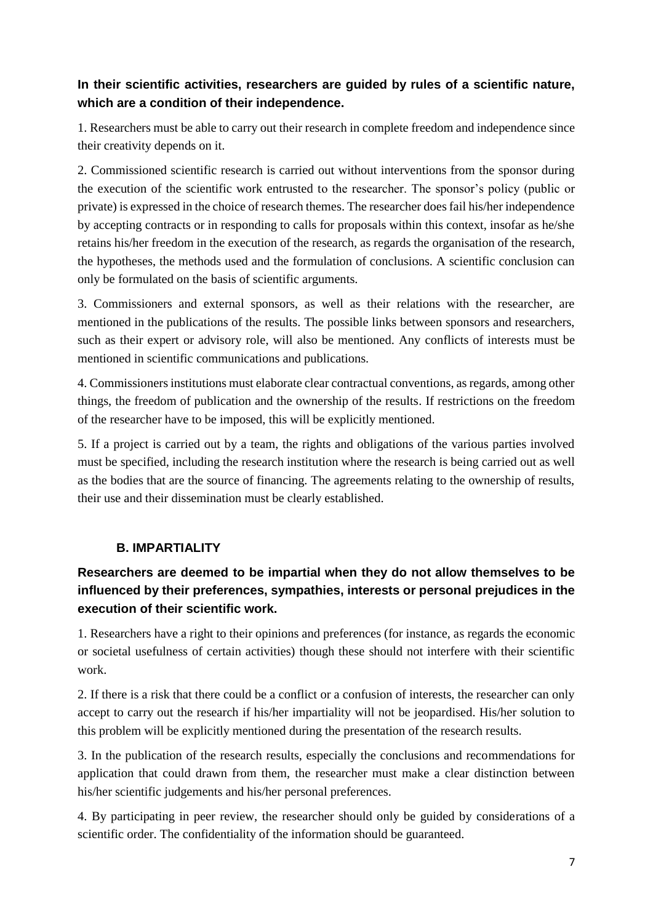#### **In their scientific activities, researchers are guided by rules of a scientific nature, which are a condition of their independence.**

1. Researchers must be able to carry out their research in complete freedom and independence since their creativity depends on it.

2. Commissioned scientific research is carried out without interventions from the sponsor during the execution of the scientific work entrusted to the researcher. The sponsor's policy (public or private) is expressed in the choice of research themes. The researcher does fail his/her independence by accepting contracts or in responding to calls for proposals within this context, insofar as he/she retains his/her freedom in the execution of the research, as regards the organisation of the research, the hypotheses, the methods used and the formulation of conclusions. A scientific conclusion can only be formulated on the basis of scientific arguments.

3. Commissioners and external sponsors, as well as their relations with the researcher, are mentioned in the publications of the results. The possible links between sponsors and researchers, such as their expert or advisory role, will also be mentioned. Any conflicts of interests must be mentioned in scientific communications and publications.

4. Commissioners institutions must elaborate clear contractual conventions, as regards, among other things, the freedom of publication and the ownership of the results. If restrictions on the freedom of the researcher have to be imposed, this will be explicitly mentioned.

5. If a project is carried out by a team, the rights and obligations of the various parties involved must be specified, including the research institution where the research is being carried out as well as the bodies that are the source of financing. The agreements relating to the ownership of results, their use and their dissemination must be clearly established.

#### **B. IMPARTIALITY**

## **Researchers are deemed to be impartial when they do not allow themselves to be influenced by their preferences, sympathies, interests or personal prejudices in the execution of their scientific work.**

1. Researchers have a right to their opinions and preferences (for instance, as regards the economic or societal usefulness of certain activities) though these should not interfere with their scientific work.

2. If there is a risk that there could be a conflict or a confusion of interests, the researcher can only accept to carry out the research if his/her impartiality will not be jeopardised. His/her solution to this problem will be explicitly mentioned during the presentation of the research results.

3. In the publication of the research results, especially the conclusions and recommendations for application that could drawn from them, the researcher must make a clear distinction between his/her scientific judgements and his/her personal preferences.

4. By participating in peer review, the researcher should only be guided by considerations of a scientific order. The confidentiality of the information should be guaranteed.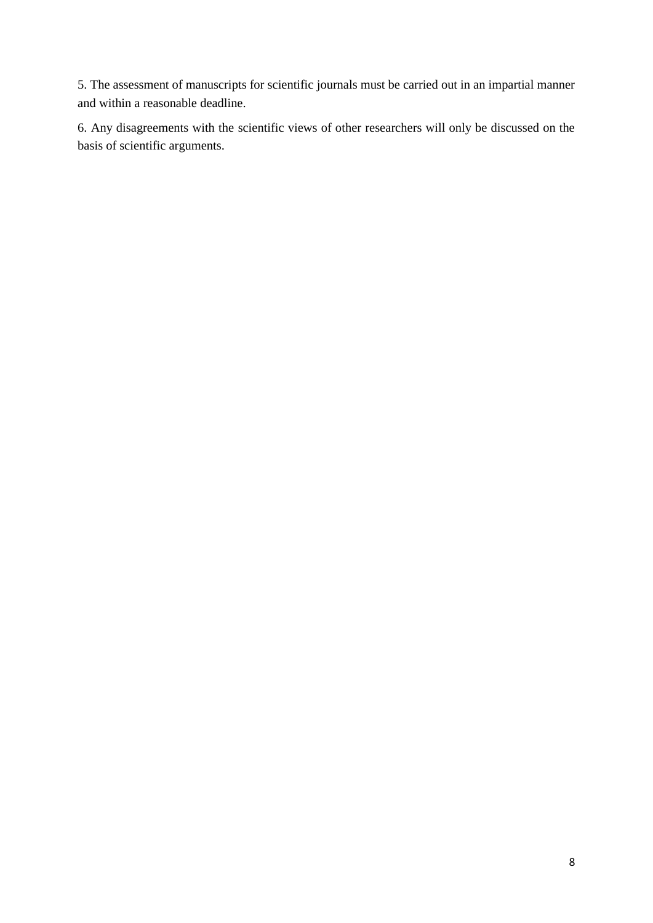5. The assessment of manuscripts for scientific journals must be carried out in an impartial manner and within a reasonable deadline.

6. Any disagreements with the scientific views of other researchers will only be discussed on the basis of scientific arguments.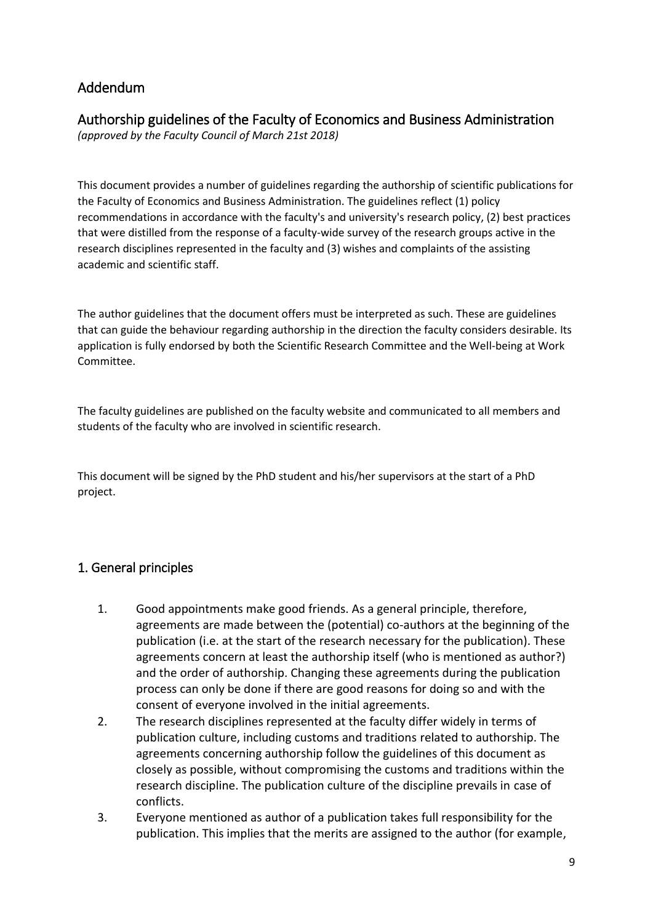## Addendum

## Authorship guidelines of the Faculty of Economics and Business Administration

*(approved by the Faculty Council of March 21st 2018)*

This document provides a number of guidelines regarding the authorship of scientific publications for the Faculty of Economics and Business Administration. The guidelines reflect (1) policy recommendations in accordance with the faculty's and university's research policy, (2) best practices that were distilled from the response of a faculty-wide survey of the research groups active in the research disciplines represented in the faculty and (3) wishes and complaints of the assisting academic and scientific staff.

The author guidelines that the document offers must be interpreted as such. These are guidelines that can guide the behaviour regarding authorship in the direction the faculty considers desirable. Its application is fully endorsed by both the Scientific Research Committee and the Well-being at Work Committee.

The faculty guidelines are published on the faculty website and communicated to all members and students of the faculty who are involved in scientific research.

This document will be signed by the PhD student and his/her supervisors at the start of a PhD project.

## 1. General principles

- 1. Good appointments make good friends. As a general principle, therefore, agreements are made between the (potential) co-authors at the beginning of the publication (i.e. at the start of the research necessary for the publication). These agreements concern at least the authorship itself (who is mentioned as author?) and the order of authorship. Changing these agreements during the publication process can only be done if there are good reasons for doing so and with the consent of everyone involved in the initial agreements.
- 2. The research disciplines represented at the faculty differ widely in terms of publication culture, including customs and traditions related to authorship. The agreements concerning authorship follow the guidelines of this document as closely as possible, without compromising the customs and traditions within the research discipline. The publication culture of the discipline prevails in case of conflicts.
- 3. Everyone mentioned as author of a publication takes full responsibility for the publication. This implies that the merits are assigned to the author (for example,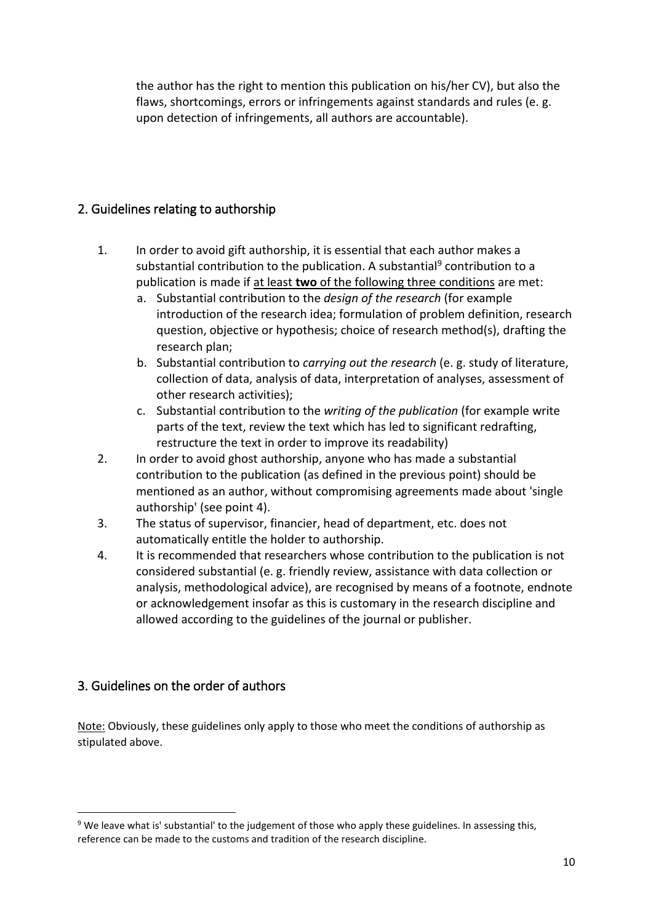the author has the right to mention this publication on his/her CV), but also the flaws, shortcomings, errors or infringements against standards and rules (e. g. upon detection of infringements, all authors are accountable).

## 2. Guidelines relating to authorship

- 1. In order to avoid gift authorship, it is essential that each author makes a substantial contribution to the publication. A substantial<sup>9</sup> contribution to a publication is made if at least **two** of the following three conditions are met:
	- a. Substantial contribution to the *design of the research* (for example introduction of the research idea; formulation of problem definition, research question, objective or hypothesis; choice of research method(s), drafting the research plan;
	- b. Substantial contribution to *carrying out the research* (e. g. study of literature, collection of data, analysis of data, interpretation of analyses, assessment of other research activities);
	- c. Substantial contribution to the *writing of the publication* (for example write parts of the text, review the text which has led to significant redrafting, restructure the text in order to improve its readability)
- 2. In order to avoid ghost authorship, anyone who has made a substantial contribution to the publication (as defined in the previous point) should be mentioned as an author, without compromising agreements made about 'single authorship' (see point 4).
- 3. The status of supervisor, financier, head of department, etc. does not automatically entitle the holder to authorship.
- 4. It is recommended that researchers whose contribution to the publication is not considered substantial (e. g. friendly review, assistance with data collection or analysis, methodological advice), are recognised by means of a footnote, endnote or acknowledgement insofar as this is customary in the research discipline and allowed according to the guidelines of the journal or publisher.

## 3. Guidelines on the order of authors

**.** 

Note: Obviously, these guidelines only apply to those who meet the conditions of authorship as stipulated above.

<sup>&</sup>lt;sup>9</sup> We leave what is' substantial' to the judgement of those who apply these guidelines. In assessing this, reference can be made to the customs and tradition of the research discipline.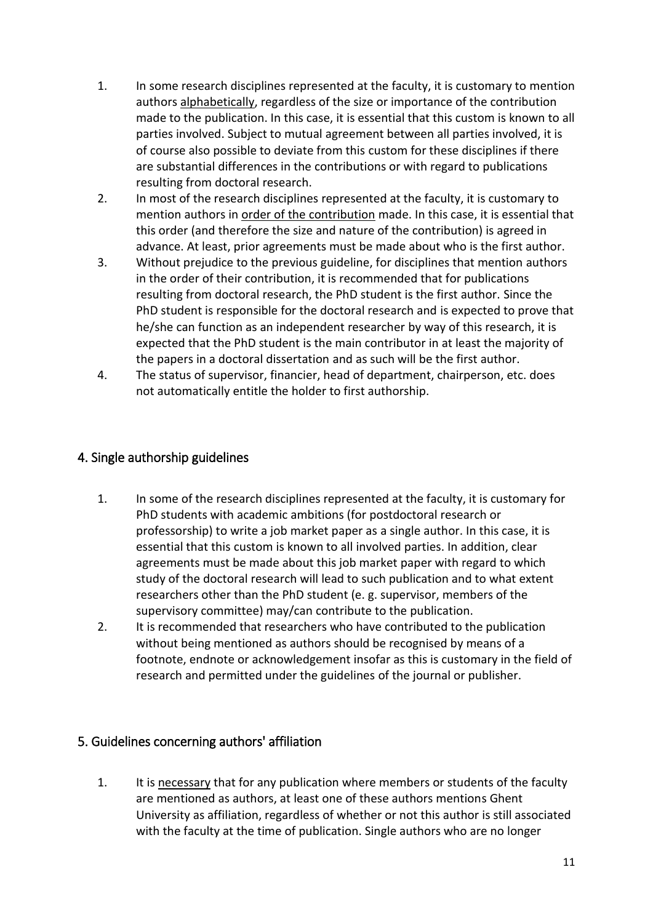- 1. In some research disciplines represented at the faculty, it is customary to mention authors alphabetically, regardless of the size or importance of the contribution made to the publication. In this case, it is essential that this custom is known to all parties involved. Subject to mutual agreement between all parties involved, it is of course also possible to deviate from this custom for these disciplines if there are substantial differences in the contributions or with regard to publications resulting from doctoral research.
- 2. In most of the research disciplines represented at the faculty, it is customary to mention authors in order of the contribution made. In this case, it is essential that this order (and therefore the size and nature of the contribution) is agreed in advance. At least, prior agreements must be made about who is the first author.
- 3. Without prejudice to the previous guideline, for disciplines that mention authors in the order of their contribution, it is recommended that for publications resulting from doctoral research, the PhD student is the first author. Since the PhD student is responsible for the doctoral research and is expected to prove that he/she can function as an independent researcher by way of this research, it is expected that the PhD student is the main contributor in at least the majority of the papers in a doctoral dissertation and as such will be the first author.
- 4. The status of supervisor, financier, head of department, chairperson, etc. does not automatically entitle the holder to first authorship.

#### 4. Single authorship guidelines

- 1. In some of the research disciplines represented at the faculty, it is customary for PhD students with academic ambitions (for postdoctoral research or professorship) to write a job market paper as a single author. In this case, it is essential that this custom is known to all involved parties. In addition, clear agreements must be made about this job market paper with regard to which study of the doctoral research will lead to such publication and to what extent researchers other than the PhD student (e. g. supervisor, members of the supervisory committee) may/can contribute to the publication.
- 2. It is recommended that researchers who have contributed to the publication without being mentioned as authors should be recognised by means of a footnote, endnote or acknowledgement insofar as this is customary in the field of research and permitted under the guidelines of the journal or publisher.

#### 5. Guidelines concerning authors' affiliation

1. It is necessary that for any publication where members or students of the faculty are mentioned as authors, at least one of these authors mentions Ghent University as affiliation, regardless of whether or not this author is still associated with the faculty at the time of publication. Single authors who are no longer